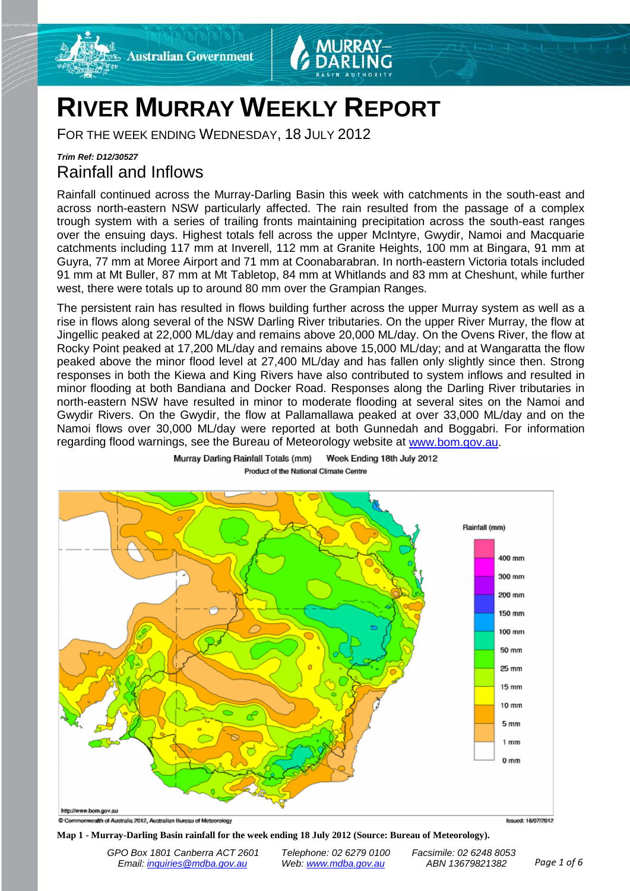



## **RIVER MURRAY WEEKLY REPORT**

FOR THE WEEK ENDING WEDNESDAY, 18 JULY 2012

### *Trim Ref: D12/30527* Rainfall and Inflows

Rainfall continued across the Murray-Darling Basin this week with catchments in the south-east and across north-eastern NSW particularly affected. The rain resulted from the passage of a complex trough system with a series of trailing fronts maintaining precipitation across the south-east ranges over the ensuing days. Highest totals fell across the upper McIntyre, Gwydir, Namoi and Macquarie catchments including 117 mm at Inverell, 112 mm at Granite Heights, 100 mm at Bingara, 91 mm at Guyra, 77 mm at Moree Airport and 71 mm at Coonabarabran. In north-eastern Victoria totals included 91 mm at Mt Buller, 87 mm at Mt Tabletop, 84 mm at Whitlands and 83 mm at Cheshunt, while further west, there were totals up to around 80 mm over the Grampian Ranges.

The persistent rain has resulted in flows building further across the upper Murray system as well as a rise in flows along several of the NSW Darling River tributaries. On the upper River Murray, the flow at Jingellic peaked at 22,000 ML/day and remains above 20,000 ML/day. On the Ovens River, the flow at Rocky Point peaked at 17,200 ML/day and remains above 15,000 ML/day; and at Wangaratta the flow peaked above the minor flood level at 27,400 ML/day and has fallen only slightly since then. Strong responses in both the Kiewa and King Rivers have also contributed to system inflows and resulted in minor flooding at both Bandiana and Docker Road. Responses along the Darling River tributaries in north-eastern NSW have resulted in minor to moderate flooding at several sites on the Namoi and Gwydir Rivers. On the Gwydir, the flow at Pallamallawa peaked at over 33,000 ML/day and on the Namoi flows over 30,000 ML/day were reported at both Gunnedah and Boggabri. For information regarding flood warnings, see the Bureau of Meteorology website at [www.bom.gov.au.](http://www.bom.gov.au/)



#### Murray Darling Rainfall Totals (mm) Week Ending 18th July 2012 Product of the National Climate Centre

**Map 1 - Murray-Darling Basin rainfall for the week ending 18 July 2012 (Source: Bureau of Meteorology).**

C Commonwealth of Australia 2012, Australian Bureau of Meteorology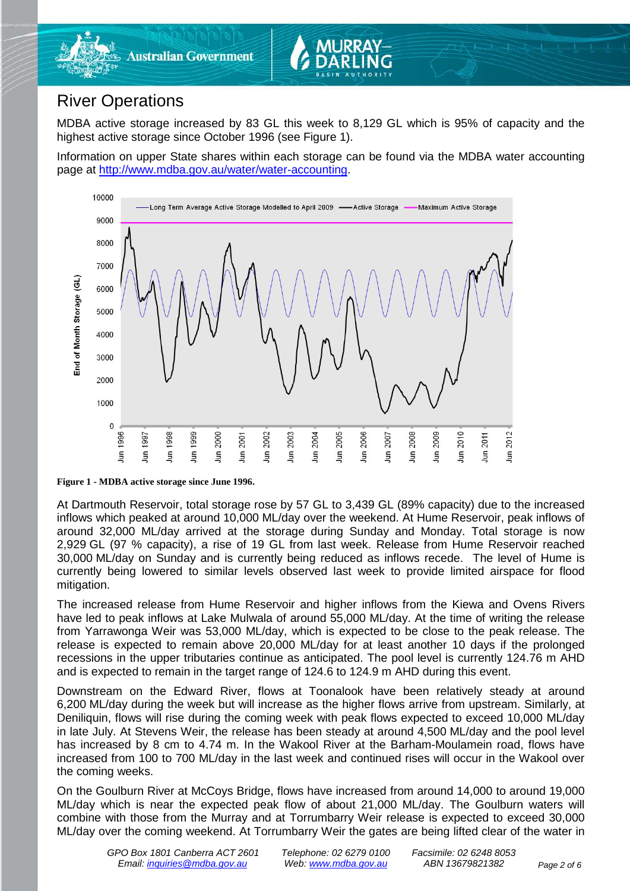

## River Operations

MDBA active storage increased by 83 GL this week to 8,129 GL which is 95% of capacity and the highest active storage since October 1996 (see Figure 1).

Information on upper State shares within each storage can be found via the MDBA water accounting page at [http://www.mdba.gov.au/water/water-accounting.](http://www.mdba.gov.au/water/water-accounting)



#### **Figure 1 - MDBA active storage since June 1996.**

At Dartmouth Reservoir, total storage rose by 57 GL to 3,439 GL (89% capacity) due to the increased inflows which peaked at around 10,000 ML/day over the weekend. At Hume Reservoir, peak inflows of around 32,000 ML/day arrived at the storage during Sunday and Monday. Total storage is now 2,929 GL (97 % capacity), a rise of 19 GL from last week. Release from Hume Reservoir reached 30,000 ML/day on Sunday and is currently being reduced as inflows recede. The level of Hume is currently being lowered to similar levels observed last week to provide limited airspace for flood mitigation.

The increased release from Hume Reservoir and higher inflows from the Kiewa and Ovens Rivers have led to peak inflows at Lake Mulwala of around 55,000 ML/day. At the time of writing the release from Yarrawonga Weir was 53,000 ML/day, which is expected to be close to the peak release. The release is expected to remain above 20,000 ML/day for at least another 10 days if the prolonged recessions in the upper tributaries continue as anticipated. The pool level is currently 124.76 m AHD and is expected to remain in the target range of 124.6 to 124.9 m AHD during this event.

Downstream on the Edward River, flows at Toonalook have been relatively steady at around 6,200 ML/day during the week but will increase as the higher flows arrive from upstream. Similarly, at Deniliquin, flows will rise during the coming week with peak flows expected to exceed 10,000 ML/day in late July. At Stevens Weir, the release has been steady at around 4,500 ML/day and the pool level has increased by 8 cm to 4.74 m. In the Wakool River at the Barham-Moulamein road, flows have increased from 100 to 700 ML/day in the last week and continued rises will occur in the Wakool over the coming weeks.

On the Goulburn River at McCoys Bridge, flows have increased from around 14,000 to around 19,000 ML/day which is near the expected peak flow of about 21,000 ML/day. The Goulburn waters will combine with those from the Murray and at Torrumbarry Weir release is expected to exceed 30,000 ML/day over the coming weekend. At Torrumbarry Weir the gates are being lifted clear of the water in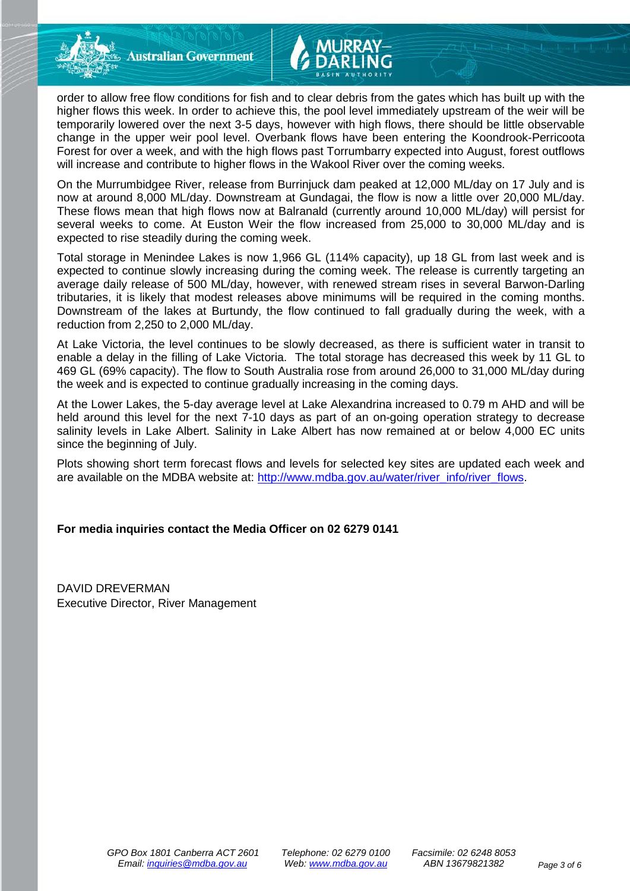**Australian Government** 

order to allow free flow conditions for fish and to clear debris from the gates which has built up with the higher flows this week. In order to achieve this, the pool level immediately upstream of the weir will be temporarily lowered over the next 3-5 days, however with high flows, there should be little observable change in the upper weir pool level. Overbank flows have been entering the Koondrook-Perricoota Forest for over a week, and with the high flows past Torrumbarry expected into August, forest outflows will increase and contribute to higher flows in the Wakool River over the coming weeks.

On the Murrumbidgee River, release from Burrinjuck dam peaked at 12,000 ML/day on 17 July and is now at around 8,000 ML/day. Downstream at Gundagai, the flow is now a little over 20,000 ML/day. These flows mean that high flows now at Balranald (currently around 10,000 ML/day) will persist for several weeks to come. At Euston Weir the flow increased from 25,000 to 30,000 ML/day and is expected to rise steadily during the coming week.

Total storage in Menindee Lakes is now 1,966 GL (114% capacity), up 18 GL from last week and is expected to continue slowly increasing during the coming week. The release is currently targeting an average daily release of 500 ML/day, however, with renewed stream rises in several Barwon-Darling tributaries, it is likely that modest releases above minimums will be required in the coming months. Downstream of the lakes at Burtundy, the flow continued to fall gradually during the week, with a reduction from 2,250 to 2,000 ML/day.

At Lake Victoria, the level continues to be slowly decreased, as there is sufficient water in transit to enable a delay in the filling of Lake Victoria. The total storage has decreased this week by 11 GL to 469 GL (69% capacity). The flow to South Australia rose from around 26,000 to 31,000 ML/day during the week and is expected to continue gradually increasing in the coming days.

At the Lower Lakes, the 5-day average level at Lake Alexandrina increased to 0.79 m AHD and will be held around this level for the next 7-10 days as part of an on-going operation strategy to decrease salinity levels in Lake Albert. Salinity in Lake Albert has now remained at or below 4,000 EC units since the beginning of July.

Plots showing short term forecast flows and levels for selected key sites are updated each week and are available on the MDBA website at: [http://www.mdba.gov.au/water/river\\_info/river\\_flows.](http://www.mdba.gov.au/water/river_info/river_flows)

#### **For media inquiries contact the Media Officer on 02 6279 0141**

DAVID DREVERMAN Executive Director, River Management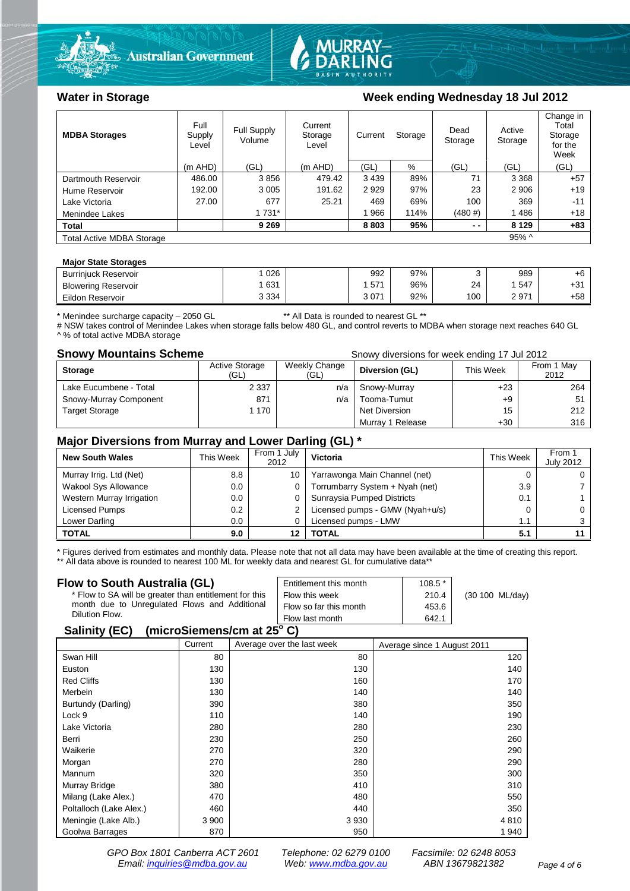



#### Water in Storage Week ending Wednesday 18 Jul 2012

| <b>MDBA Storages</b>             | Full<br>Supply<br>Level | <b>Full Supply</b><br>Volume | Current<br>Storage<br>Level | Current | Storage | Dead<br>Storage | Active<br>Storage | Change in<br>Total<br>Storage<br>for the<br>Week |
|----------------------------------|-------------------------|------------------------------|-----------------------------|---------|---------|-----------------|-------------------|--------------------------------------------------|
|                                  | $(m$ AHD)               | (GL)                         | (m AHD)                     | (GL)    | %       | (GL)            | (GL)              | (GL)                                             |
| Dartmouth Reservoir              | 486.00                  | 3856                         | 479.42                      | 3 4 3 9 | 89%     | 71              | 3 3 6 8           | $+57$                                            |
| Hume Reservoir                   | 192.00                  | 3 0 0 5                      | 191.62                      | 2929    | 97%     | 23              | 2 9 0 6           | $+19$                                            |
| Lake Victoria                    | 27.00                   | 677                          | 25.21                       | 469     | 69%     | 100             | 369               | $-11$                                            |
| Menindee Lakes                   |                         | 1 7 3 1 *                    |                             | 966     | 114%    | $(480 \#)$      | 1486              | $+18$                                            |
| <b>Total</b>                     |                         | 9 2 6 9                      |                             | 8 8 0 3 | 95%     | $ -$            | 8 1 2 9           | $+83$                                            |
| <b>Total Active MDBA Storage</b> |                         |                              |                             |         |         |                 | $95\%$ ^          |                                                  |

#### **Major State Storages**

| <b>Burriniuck Reservoir</b> | 026     | 992     | 97% |     | 989  | $+6$        |
|-----------------------------|---------|---------|-----|-----|------|-------------|
| <b>Blowering Reservoir</b>  | 631     | 571     | 96% | 24  | 547  | . ກ.<br>- ت |
| Eildon<br>ı Reservoir       | 3 3 3 4 | 3 0 7 1 | 92% | 100 | 2971 | $+58$       |
|                             |         |         |     |     |      |             |

\* Menindee surcharge capacity – 2050 GL \*\* All Data is rounded to nearest GL \*\*

# NSW takes control of Menindee Lakes when storage falls below 480 GL, and control reverts to MDBA when storage next reaches 640 GL ^ % of total active MDBA storage

**Snowy Mountains Scheme Snowy diversions for week ending 17 Jul 2012** 

| <b>Storage</b>         | <b>Active Storage</b><br>'GL) | Weekly Change<br>(GL) | Diversion (GL)   | This Week | From 1 May<br>2012 |
|------------------------|-------------------------------|-----------------------|------------------|-----------|--------------------|
| Lake Eucumbene - Total | 2 3 3 7                       | n/a                   | Snowy-Murray     | $+23$     | 264                |
| Snowy-Murray Component | 871                           | n/a                   | Tooma-Tumut      | $+9$      | 51                 |
| <b>Target Storage</b>  | 1 170                         |                       | Net Diversion    | 15        | 212                |
|                        |                               |                       | Murray 1 Release | $+30$     | 316                |

#### **Major Diversions from Murray and Lower Darling (GL) \***

| <b>New South Wales</b>    | This Week | From 1 July<br>2012 | Victoria                        | This Week | From 1<br><b>July 2012</b> |
|---------------------------|-----------|---------------------|---------------------------------|-----------|----------------------------|
| Murray Irrig. Ltd (Net)   | 8.8       | 10                  | Yarrawonga Main Channel (net)   |           |                            |
| Wakool Sys Allowance      | 0.0       | 0                   | Torrumbarry System + Nyah (net) | 3.9       |                            |
| Western Murray Irrigation | 0.0       |                     | Sunraysia Pumped Districts      | 0.1       |                            |
| Licensed Pumps            | 0.2       | 2                   | Licensed pumps - GMW (Nyah+u/s) |           |                            |
| Lower Darling             | 0.0       |                     | Licensed pumps - LMW            | 1.1       |                            |
| <b>TOTAL</b>              | 9.0       |                     | TOTAL                           | 5.1       |                            |

\* Figures derived from estimates and monthly data. Please note that not all data may have been available at the time of creating this report. \*\* All data above is rounded to nearest 100 ML for weekly data and nearest GL for cumulative data\*\*

#### **Flow to South Australia (GL)**

| Flow to South Australia (GL)<br>* Flow to SA will be greater than entitlement for this<br>month due to Unregulated Flows and Additional | Entitlement this month<br>Flow this week<br>Flow so far this month | $108.5*$<br>210.4<br>453.6 | (30 100 ML/day) |
|-----------------------------------------------------------------------------------------------------------------------------------------|--------------------------------------------------------------------|----------------------------|-----------------|
| Dilution Flow.                                                                                                                          | Flow last month                                                    | 642.1                      |                 |
| $\mathbf{A}$ , $\mathbf{B}$ , $\mathbf{A}$ , $\mathbf{B}$                                                                               |                                                                    |                            |                 |

#### **Salinity (EC) (microSiemens/cm at 25o C)**

|                         | Current | Average over the last week | Average since 1 August 2011 |
|-------------------------|---------|----------------------------|-----------------------------|
| Swan Hill               | 80      | 80                         | 120                         |
| Euston                  | 130     | 130                        | 140                         |
| <b>Red Cliffs</b>       | 130     | 160                        | 170                         |
| Merbein                 | 130     | 140                        | 140                         |
| Burtundy (Darling)      | 390     | 380                        | 350                         |
| Lock 9                  | 110     | 140                        | 190                         |
| Lake Victoria           | 280     | 280                        | 230                         |
| Berri                   | 230     | 250                        | 260                         |
| Waikerie                | 270     | 320                        | 290                         |
| Morgan                  | 270     | 280                        | 290                         |
| Mannum                  | 320     | 350                        | 300                         |
| Murray Bridge           | 380     | 410                        | 310                         |
| Milang (Lake Alex.)     | 470     | 480                        | 550                         |
| Poltalloch (Lake Alex.) | 460     | 440                        | 350                         |
| Meningie (Lake Alb.)    | 3 9 0 0 | 3 9 3 0                    | 4810                        |
| Goolwa Barrages         | 870     | 950                        | 1940                        |

*GPO Box 1801 Canberra ACT 2601 Telephone: 02 6279 0100 Facsimile: 02 6248 8053 Email: [inquiries@mdba.gov.au](mailto:inquiries@mdba.gov.au) Web: [www.mdba.gov.au](http://www.mdba.gov.au/) ABN 13679821382 Page 4 of 6*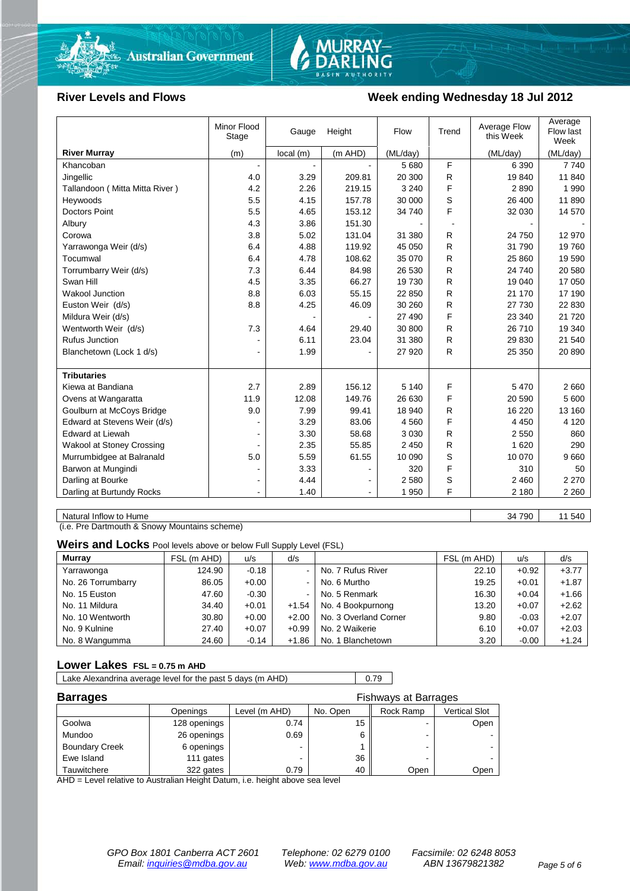

# MURRAY-<br>DARLING

#### River Levels and Flows **Week ending Wednesday 18 Jul 2012**

|                                  | Minor Flood<br>Stage | Gauge    | Height  | Flow     | Trend | Average Flow<br>this Week | Average<br>Flow last<br>Week |
|----------------------------------|----------------------|----------|---------|----------|-------|---------------------------|------------------------------|
| <b>River Murray</b>              | (m)                  | local(m) | (m AHD) | (ML/day) |       | (ML/day)                  | (ML/day)                     |
| Khancoban                        |                      |          |         | 5 6 8 0  | F     | 6 3 9 0                   | 7740                         |
| Jingellic                        | 4.0                  | 3.29     | 209.81  | 20 300   | R     | 19840                     | 11 840                       |
| Tallandoon (Mitta Mitta River)   | 4.2                  | 2.26     | 219.15  | 3 2 4 0  | F     | 2890                      | 1990                         |
| Heywoods                         | 5.5                  | 4.15     | 157.78  | 30 000   | S     | 26 400                    | 11 890                       |
| <b>Doctors Point</b>             | 5.5                  | 4.65     | 153.12  | 34 740   | F     | 32 030                    | 14 570                       |
| Albury                           | 4.3                  | 3.86     | 151.30  |          |       |                           |                              |
| Corowa                           | 3.8                  | 5.02     | 131.04  | 31 380   | R.    | 24 750                    | 12 970                       |
| Yarrawonga Weir (d/s)            | 6.4                  | 4.88     | 119.92  | 45 050   | R     | 31 790                    | 19760                        |
| Tocumwal                         | 6.4                  | 4.78     | 108.62  | 35 070   | R     | 25 860                    | 19 590                       |
| Torrumbarry Weir (d/s)           | 7.3                  | 6.44     | 84.98   | 26 530   | R     | 24 740                    | 20 580                       |
| Swan Hill                        | 4.5                  | 3.35     | 66.27   | 19730    | R     | 19 040                    | 17 050                       |
| Wakool Junction                  | 8.8                  | 6.03     | 55.15   | 22 850   | R     | 21 170                    | 17 190                       |
| Euston Weir (d/s)                | 8.8                  | 4.25     | 46.09   | 30 260   | R     | 27 730                    | 22 830                       |
| Mildura Weir (d/s)               |                      |          |         | 27 490   | F     | 23 340                    | 21 7 20                      |
| Wentworth Weir (d/s)             | 7.3                  | 4.64     | 29.40   | 30 800   | R     | 26710                     | 19 340                       |
| <b>Rufus Junction</b>            |                      | 6.11     | 23.04   | 31 380   | R.    | 29 830                    | 21 540                       |
| Blanchetown (Lock 1 d/s)         | $\blacksquare$       | 1.99     |         | 27 9 20  | R     | 25 350                    | 20 890                       |
|                                  |                      |          |         |          |       |                           |                              |
| <b>Tributaries</b>               |                      |          |         |          |       |                           |                              |
| Kiewa at Bandiana                | 2.7                  | 2.89     | 156.12  | 5 1 4 0  | F     | 5 4 7 0                   | 2 6 6 0                      |
| Ovens at Wangaratta              | 11.9                 | 12.08    | 149.76  | 26 630   | F     | 20 590                    | 5 600                        |
| Goulburn at McCoys Bridge        | 9.0                  | 7.99     | 99.41   | 18 940   | R     | 16 220                    | 13 160                       |
| Edward at Stevens Weir (d/s)     |                      | 3.29     | 83.06   | 4560     | F     | 4 4 5 0                   | 4 1 2 0                      |
| <b>Edward at Liewah</b>          |                      | 3.30     | 58.68   | 3 0 3 0  | R.    | 2 5 5 0                   | 860                          |
| <b>Wakool at Stoney Crossing</b> |                      | 2.35     | 55.85   | 2 4 5 0  | R.    | 1620                      | 290                          |
| Murrumbidgee at Balranald        | 5.0                  | 5.59     | 61.55   | 10 090   | S     | 10 070                    | 9660                         |
| Barwon at Mungindi               |                      | 3.33     |         | 320      | F     | 310                       | 50                           |
| Darling at Bourke                | $\blacksquare$       | 4.44     |         | 2580     | S     | 2 4 6 0                   | 2 2 7 0                      |
| Darling at Burtundy Rocks        |                      | 1.40     |         | 1 950    | F     | 2 1 8 0                   | 2 2 6 0                      |

Natural Inflow to Hume 34 790 11 540

(i.e. Pre Dartmouth & Snowy Mountains scheme)

**Weirs and Locks** Pool levels above or below Full Supply Level (FSL)

| <b>Murray</b>      | FSL (m AHD) | u/s     | d/s     |                       | FSL (m AHD) | u/s     | d/s     |
|--------------------|-------------|---------|---------|-----------------------|-------------|---------|---------|
| Yarrawonga         | 124.90      | $-0.18$ | $\sim$  | No. 7 Rufus River     | 22.10       | $+0.92$ | $+3.77$ |
| No. 26 Torrumbarry | 86.05       | $+0.00$ | $\sim$  | No. 6 Murtho          | 19.25       | $+0.01$ | $+1.87$ |
| No. 15 Euston      | 47.60       | $-0.30$ | $\sim$  | No. 5 Renmark         | 16.30       | $+0.04$ | $+1.66$ |
| No. 11 Mildura     | 34.40       | $+0.01$ | $+1.54$ | No. 4 Bookpurnong     | 13.20       | $+0.07$ | $+2.62$ |
| No. 10 Wentworth   | 30.80       | $+0.00$ | $+2.00$ | No. 3 Overland Corner | 9.80        | $-0.03$ | $+2.07$ |
| No. 9 Kulnine      | 27.40       | $+0.07$ | $+0.99$ | No. 2 Waikerie        | 6.10        | $+0.07$ | $+2.03$ |
| No. 8 Wangumma     | 24.60       | $-0.14$ | $+1.86$ | No. 1 Blanchetown     | 3.20        | $-0.00$ | $+1.24$ |

#### **Lower Lakes FSL = 0.75 m AHD**

Lake Alexandrina average level for the past 5 days (m AHD) 0.79

| <b>Barrages</b>       | Fishways at Barrages |               |          |           |               |
|-----------------------|----------------------|---------------|----------|-----------|---------------|
|                       | Openings             | Level (m AHD) | No. Open | Rock Ramp | Vertical Slot |
| Goolwa                | 128 openings         | 0.74          | 15       |           | Open          |
| Mundoo                | 26 openings          | 0.69          |          | -         |               |
| <b>Boundary Creek</b> | 6 openings           | -             |          |           |               |
| Ewe Island            | 111 gates            |               | 36       |           |               |
| Tauwitchere           | 322 gates            | 0.79          | 40       | Open      | Open          |

AHD = Level relative to Australian Height Datum, i.e. height above sea level